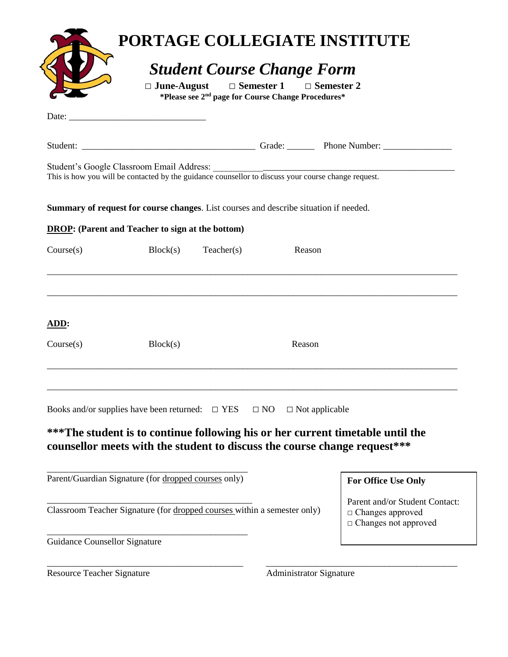|                                                                          | $\Box$ June-August                                                                                                                                                                                                                                                                     | <b>Student Course Change Form</b><br>$\Box$ Semester 1<br>*Please see 2 <sup>nd</sup> page for Course Change Procedures* | $\Box$ Semester 2                                                                        | PORTAGE COLLEGIATE INSTITUTE                                                                                                                                |
|--------------------------------------------------------------------------|----------------------------------------------------------------------------------------------------------------------------------------------------------------------------------------------------------------------------------------------------------------------------------------|--------------------------------------------------------------------------------------------------------------------------|------------------------------------------------------------------------------------------|-------------------------------------------------------------------------------------------------------------------------------------------------------------|
|                                                                          | Date: $\frac{1}{2}$ Date: $\frac{1}{2}$ Date: $\frac{1}{2}$ Date: $\frac{1}{2}$ Date: $\frac{1}{2}$ Date: $\frac{1}{2}$ Date: $\frac{1}{2}$ Date: $\frac{1}{2}$ Date: $\frac{1}{2}$ Date: $\frac{1}{2}$ Date: $\frac{1}{2}$ Date: $\frac{1}{2}$ Date: $\frac{1}{2}$ Date: $\frac{1}{2$ |                                                                                                                          |                                                                                          |                                                                                                                                                             |
|                                                                          |                                                                                                                                                                                                                                                                                        |                                                                                                                          |                                                                                          |                                                                                                                                                             |
|                                                                          |                                                                                                                                                                                                                                                                                        |                                                                                                                          |                                                                                          |                                                                                                                                                             |
|                                                                          | <b>Summary of request for course changes.</b> List courses and describe situation if needed.                                                                                                                                                                                           |                                                                                                                          |                                                                                          |                                                                                                                                                             |
|                                                                          | <b>DROP:</b> (Parent and Teacher to sign at the bottom)                                                                                                                                                                                                                                |                                                                                                                          |                                                                                          |                                                                                                                                                             |
| Course(s)                                                                | Block(s)                                                                                                                                                                                                                                                                               | Teacher(s)                                                                                                               | Reason                                                                                   |                                                                                                                                                             |
| ADD:<br>Course(s)                                                        | Block(s)                                                                                                                                                                                                                                                                               |                                                                                                                          | Reason                                                                                   |                                                                                                                                                             |
|                                                                          | Books and/or supplies have been returned: $\square$ YES                                                                                                                                                                                                                                |                                                                                                                          | $\Box$ NO<br>$\Box$ Not applicable                                                       | ***The student is to continue following his or her current timetable until the<br>counsellor meets with the student to discuss the course change request*** |
|                                                                          |                                                                                                                                                                                                                                                                                        |                                                                                                                          |                                                                                          |                                                                                                                                                             |
|                                                                          | Parent/Guardian Signature (for dropped courses only)                                                                                                                                                                                                                                   |                                                                                                                          |                                                                                          | <b>For Office Use Only</b>                                                                                                                                  |
| Classroom Teacher Signature (for dropped courses within a semester only) |                                                                                                                                                                                                                                                                                        |                                                                                                                          | Parent and/or Student Contact:<br>$\Box$ Changes approved<br>$\Box$ Changes not approved |                                                                                                                                                             |
| <b>Guidance Counsellor Signature</b>                                     |                                                                                                                                                                                                                                                                                        |                                                                                                                          |                                                                                          |                                                                                                                                                             |

\_\_\_\_\_\_\_\_\_\_\_\_\_\_\_\_\_\_\_\_\_\_\_\_\_\_\_\_\_\_\_\_\_\_\_\_\_\_\_\_\_\_\_ \_\_\_\_\_\_\_\_\_\_\_\_\_\_\_\_\_\_\_\_\_\_\_\_\_\_\_\_\_\_\_\_\_\_\_\_\_\_\_\_\_\_

Resource Teacher Signature Administrator Signature